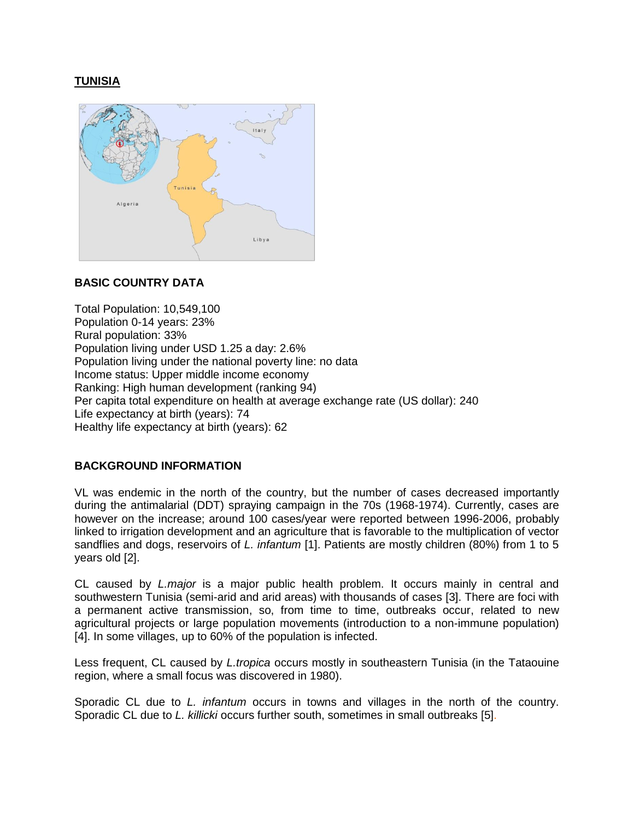# **TUNISIA**



# **BASIC COUNTRY DATA**

Total Population: 10,549,100 Population 0-14 years: 23% Rural population: 33% Population living under USD 1.25 a day: 2.6% Population living under the national poverty line: no data Income status: Upper middle income economy Ranking: High human development (ranking 94) Per capita total expenditure on health at average exchange rate (US dollar): 240 Life expectancy at birth (years): 74 Healthy life expectancy at birth (years): 62

# **BACKGROUND INFORMATION**

VL was endemic in the north of the country, but the number of cases decreased importantly during the antimalarial (DDT) spraying campaign in the 70s (1968-1974). Currently, cases are however on the increase; around 100 cases/year were reported between 1996-2006, probably linked to irrigation development and an agriculture that is favorable to the multiplication of vector sandflies and dogs, reservoirs of *L. infantum* [1]. Patients are mostly children (80%) from 1 to 5 years old [2].

CL caused by *L.major* is a major public health problem. It occurs mainly in central and southwestern Tunisia (semi-arid and arid areas) with thousands of cases [3]. There are foci with a permanent active transmission, so, from time to time, outbreaks occur, related to new agricultural projects or large population movements (introduction to a non-immune population) [4]. In some villages, up to 60% of the population is infected.

Less frequent, CL caused by *L.tropica* occurs mostly in southeastern Tunisia (in the Tataouine region, where a small focus was discovered in 1980).

Sporadic CL due to *L. infantum* occurs in towns and villages in the north of the country. Sporadic CL due to *L. killicki* occurs further south, sometimes in small outbreaks [5].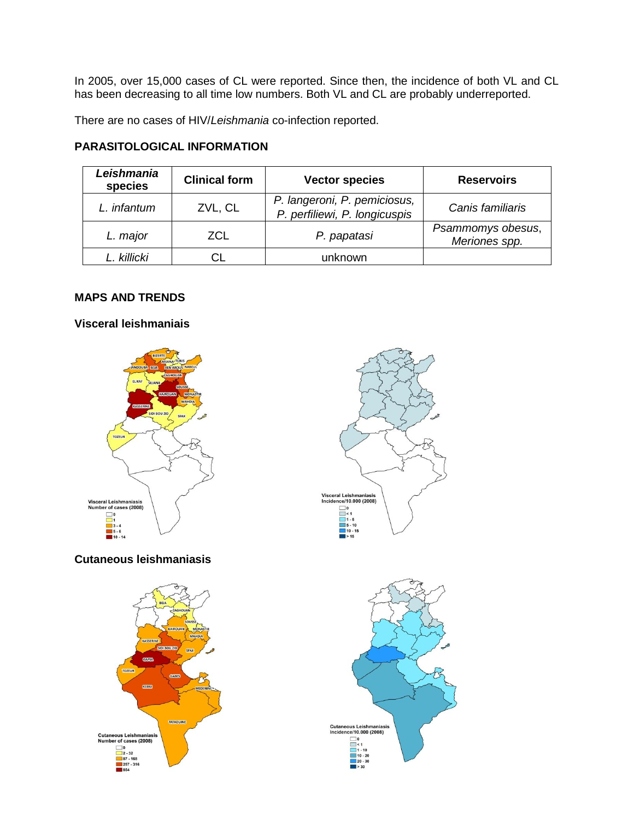In 2005, over 15,000 cases of CL were reported. Since then, the incidence of both VL and CL has been decreasing to all time low numbers. Both VL and CL are probably underreported.

There are no cases of HIV/*Leishmania* co-infection reported.

### **PARASITOLOGICAL INFORMATION**

| Leishmania<br>species | <b>Clinical form</b> | <b>Vector species</b>                                         | <b>Reservoirs</b>                  |
|-----------------------|----------------------|---------------------------------------------------------------|------------------------------------|
| L. infantum           | ZVL, CL              | P. langeroni, P. pemiciosus,<br>P. perfiliewi, P. longicuspis | Canis familiaris                   |
| L. major              | ZCL                  | P. papatasi                                                   | Psammomys obesus,<br>Meriones spp. |
| I killicki            |                      | unknown                                                       |                                    |

### **MAPS AND TRENDS**

#### **Visceral leishmaniais**



# **Cutaneous leishmaniasis**





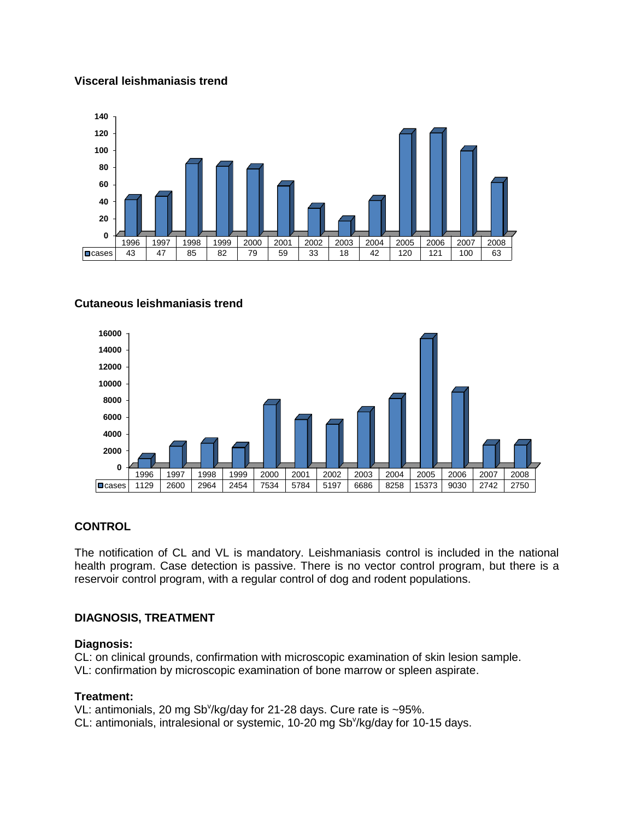### **Visceral leishmaniasis trend**



### **Cutaneous leishmaniasis trend**



### **CONTROL**

The notification of CL and VL is mandatory. Leishmaniasis control is included in the national health program. Case detection is passive. There is no vector control program, but there is a reservoir control program, with a regular control of dog and rodent populations.

### **DIAGNOSIS, TREATMENT**

### **Diagnosis:**

CL: on clinical grounds, confirmation with microscopic examination of skin lesion sample. VL: confirmation by microscopic examination of bone marrow or spleen aspirate.

### **Treatment:**

VL: antimonials, 20 mg Sb<sup>v</sup>/kg/day for 21-28 days. Cure rate is  $\sim$ 95%. CL: antimonials, intralesional or systemic, 10-20 mg SbY/kg/day for 10-15 days.